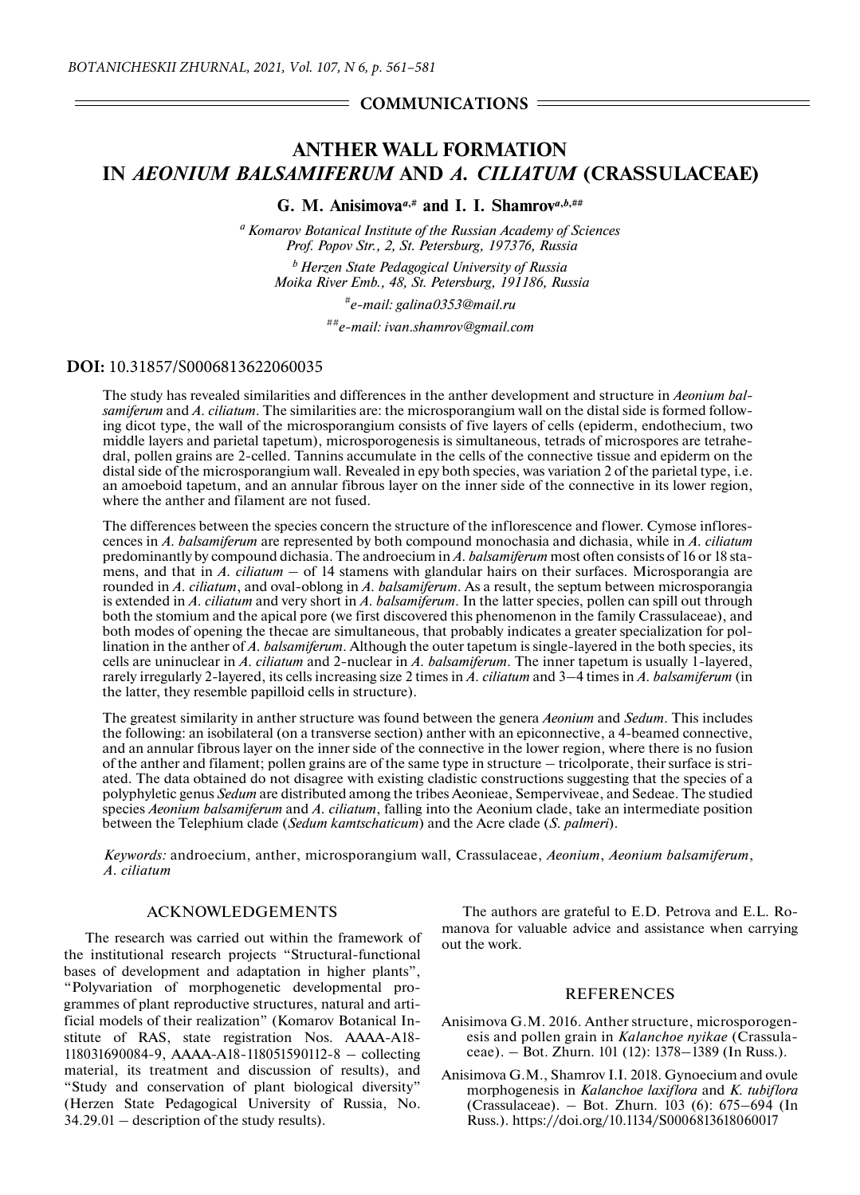## $=$  COMMUNICATIONS  $=$

# **ANTHER WALL FORMATION IN** *AEONIUM BALSAMIFERUM* **AND** *A. CILIATUM* **(CRASSULACEAE)**

**G. M. Anisimova**<sup> $a, \#$ </sup> and I. I. Shamrov<sup> $a, b, \# \#$ </sup>

*a Komarov Botanical Institute of the Russian Academy of Sciences Prof. Popov Str., 2, St. Petersburg, 197376, Russia*

*b Herzen State Pedagogical University of Russia Moika River Emb., 48, St. Petersburg, 191186, Russia*

*#e-mail: galina0353@mail.ru*

*##e-mail: ivan.shamrov@gmail.com*

### **DOI:** 10.31857/S0006813622060035

The study has revealed similarities and differences in the anther development and structure in *Aeonium balsamiferum* and *A. ciliatum*. The similarities are: the microsporangium wall on the distal side is formed following dicot type, the wall of the microsporangium consists of five layers of cells (epiderm, endothecium, two middle layers and parietal tapetum), microsporogenesis is simultaneous, tetrads of microspores are tetrahedral, pollen grains are 2-celled. Tannins accumulate in the cells of the connective tissue and epiderm on the distal side of the microsporangium wall. Revealed in еру both species, was variation 2 of the parietal type, i.e. an amoeboid tapetum, and an annular fibrous layer on the inner side of the connective in its lower region, where the anther and filament are not fused.

The differences between the species concern the structure of the inflorescence and flower. Cymose inflorescences in *A. balsamiferum* are represented by both compound monochasia and dichasia, while in *A. ciliatum* predominantly by compound dichasia. The androecium in *A. balsamiferum* most often consists of 16 or 18 stamens, and that in *A. ciliatum* – of 14 stamens with glandular hairs on their surfaces. Microsporangia are rounded in *A. ciliatum*, and oval-oblong in *A. balsamiferum*. As a result, the septum between microsporangia is extended in *A. ciliatum* and very short in *A. balsamiferum*. In the latter species, pollen can spill out through both the stomium and the apical pore (we first discovered this phenomenon in the family Crassulaceae), and both modes of opening the thecae are simultaneous, that probably indicates a greater specialization for pollination in the anther of *A. balsamiferum*. Although the outer tapetum is single-layered in the both species, its cells are uninuclear in *A. ciliatum* and 2-nuclear in *A. balsamiferum*. The inner tapetum is usually 1-layered, rarely irregularly 2-layered, its cells increasing size 2 times in *A. ciliatum* and 3–4 times in *A. balsamiferum* (in the latter, they resemble papilloid cells in structure).

The greatest similarity in anther structure was found between the genera *Aeonium* and *Sedum*. This includes the following: an isobilateral (on a transverse section) anther with an epiconnective, a 4-beamed connective, and an annular fibrous layer on the inner side of the connective in the lower region, where there is no fusion of the anther and filament; pollen grains are of the same type in structure – tricolporate, their surface is striated. The data obtained do not disagree with existing cladistic constructions suggesting that the species of a polyphyletic genus *Sedum* are distributed among the tribes Aeonieae, Semperviveae, and Sedeae. The studied species *Aeonium balsamiferum* and *A. ciliatum*, falling into the Aeonium clade, take an intermediate position between the Telephium clade (*Sedum kamtschaticum*) and the Acre clade (*S. palmeri*).

*Keywords:* androecium, anther, microsporangium wall, Crassulaceae, *Aeonium*, *Aeonium balsamiferum*, *A. ciliatum*

### ACKNOWLEDGEMENTS

The research was carried out within the framework of the institutional research projects "Structural-functional bases of development and adaptation in higher plants", "Polyvariation of morphogenetic developmental programmes of plant reproductive structures, natural and artificial models of their realization" (Komarov Botanical Institute of RAS, state registration Nos. АААА-А18- 118031690084-9, AAAA-A18-118051590112-8 – collecting material, its treatment and discussion of results), and "Study and conservation of plant biological diversity" (Herzen State Pedagogical University of Russia, No. 34.29.01 – description of the study results).

The authors are grateful to E.D. Petrova and E.L. Romanova for valuable advice and assistance when carrying out the work.

#### **REFERENCES**

- Anisimova G.M. 2016. Anther structure, microsporogenesis and pollen grain in *Kalanchoe nyikae* (Crassulaceae). – Bot. Zhurn. 101 (12): 1378–1389 (In Russ.).
- Anisimova G.M., Shamrov I.I. 2018. Gynoecium and ovule morphogenesis in *Kalanchoe laxiflora* and *K. tubiflora* (Crassulaceae). – Bot. Zhurn. 103 (6): 675–694 (In Russ.). https://doi.org/10.1134/S0006813618060017